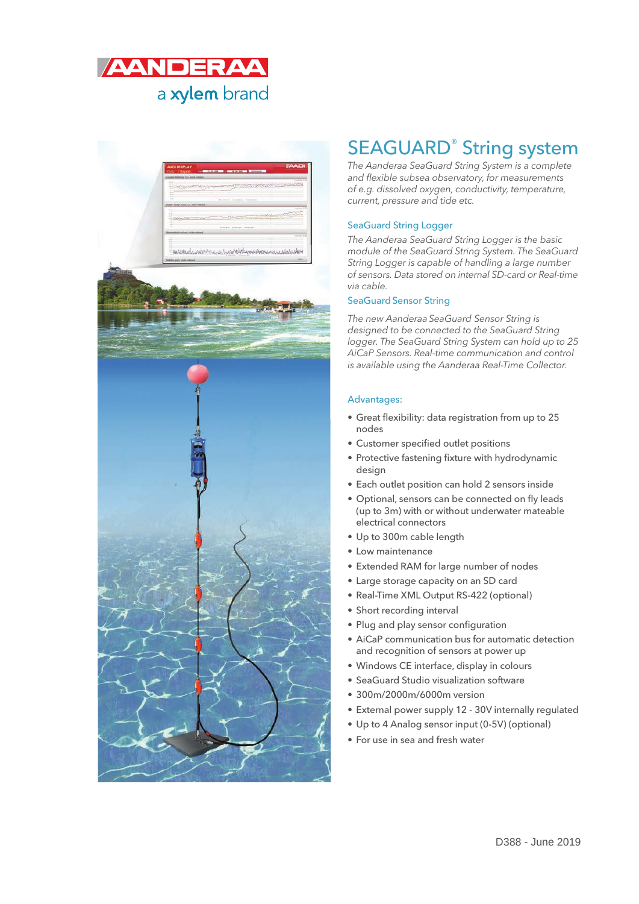



### SEAGUARD® String system

*The Aanderaa SeaGuard String System is a complete and flexible subsea observatory, for measurements of e.g. dissolved oxygen, conductivity, temperature, current, pressure and tide etc.*

#### SeaGuard String Logger

*The Aanderaa SeaGuard String Logger is the basic module of the SeaGuard String System. The SeaGuard String Logger is capable of handling a large number of sensors. Data stored on internal SD-card or Real-time via cable.*

#### SeaGuard Sensor String

*The new AanderaaSeaGuard Sensor String is designed to be connected to the SeaGuard String logger. The SeaGuard String System can hold up to 25 AiCaP Sensors. Real-time communication and control is available using the Aanderaa Real-Time Collector.*

#### Advantages:

- Great flexibility: data registration from up to 25 nodes
- Customer specified outlet positions
- Protective fastening fixture with hydrodynamic design
- Each outlet position can hold 2 sensors inside
- Optional, sensors can be connected on fly leads (up to 3m) with or without underwater mateable electrical connectors
- Up to 300m cable length
- Low maintenance
- Extended RAM for large number of nodes
- Large storage capacity on an SD card
- Real-Time XML Output RS-422 (optional)
- Short recording interval
- Plug and play sensor configuration
- AiCaP communication bus for automatic detection and recognition of sensors at power up
- Windows CE interface, display in colours
- SeaGuard Studio visualization software
- 300m/2000m/6000m version
- External power supply 12 30V internally regulated
- Up to 4 Analog sensor input (0-5V) (optional)
- For use in sea and fresh water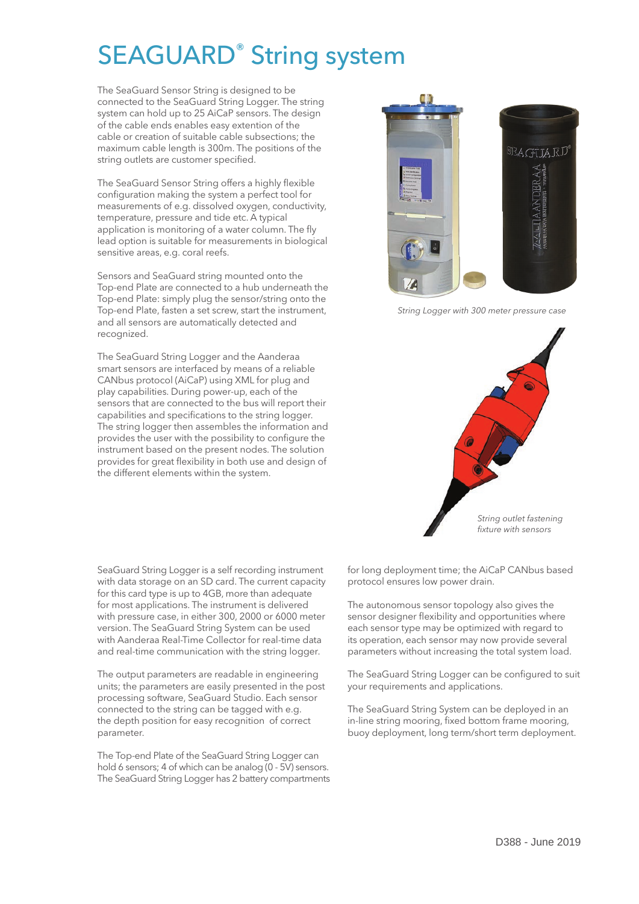# SEAGUARD® String system

The SeaGuard Sensor String is designed to be connected to the SeaGuard String Logger. The string system can hold up to 25 AiCaP sensors. The design of the cable ends enables easy extention of the cable or creation of suitable cable subsections; the maximum cable length is 300m. The positions of the string outlets are customer specified.

The SeaGuard Sensor String offers a highly flexible configuration making the system a perfect tool for measurements of e.g. dissolved oxygen, conductivity, temperature, pressure and tide etc. A typical application is monitoring of a water column. The fly lead option is suitable for measurements in biological sensitive areas, e.g. coral reefs.

Sensors and SeaGuard string mounted onto the Top-end Plate are connected to a hub underneath the Top-end Plate: simply plug the sensor/string onto the Top-end Plate, fasten a set screw, start the instrument, and all sensors are automatically detected and recognized.

The SeaGuard String Logger and the Aanderaa smart sensors are interfaced by means of a reliable CANbus protocol (AiCaP) using XML for plug and play capabilities. During power-up, each of the sensors that are connected to the bus will report their capabilities and specifications to the string logger. The string logger then assembles the information and provides the user with the possibility to configure the instrument based on the present nodes. The solution provides for great flexibility in both use and design of the different elements within the system.

**EAGUARD** 

*String Logger with 300 meter pressure case*



SeaGuard String Logger is a self recording instrument with data storage on an SD card. The current capacity for this card type is up to 4GB, more than adequate for most applications. The instrument is delivered with pressure case, in either 300, 2000 or 6000 meter version. The SeaGuard String System can be used with Aanderaa Real-Time Collector for real-time data and real-time communication with the string logger.

The output parameters are readable in engineering units; the parameters are easily presented in the post processing software, SeaGuard Studio. Each sensor connected to the string can be tagged with e.g. the depth position for easy recognition of correct parameter.

The Top-end Plate of the SeaGuard String Logger can hold 6 sensors; 4 of which can be analog (0 - 5V) sensors. The SeaGuard String Logger has 2 battery compartments for long deployment time; the AiCaP CANbus based protocol ensures low power drain.

The autonomous sensor topology also gives the sensor designer flexibility and opportunities where each sensor type may be optimized with regard to its operation, each sensor may now provide several parameters without increasing the total system load.

The SeaGuard String Logger can be configured to suit your requirements and applications.

The SeaGuard String System can be deployed in an in-line string mooring, fixed bottom frame mooring, buoy deployment, long term/short term deployment.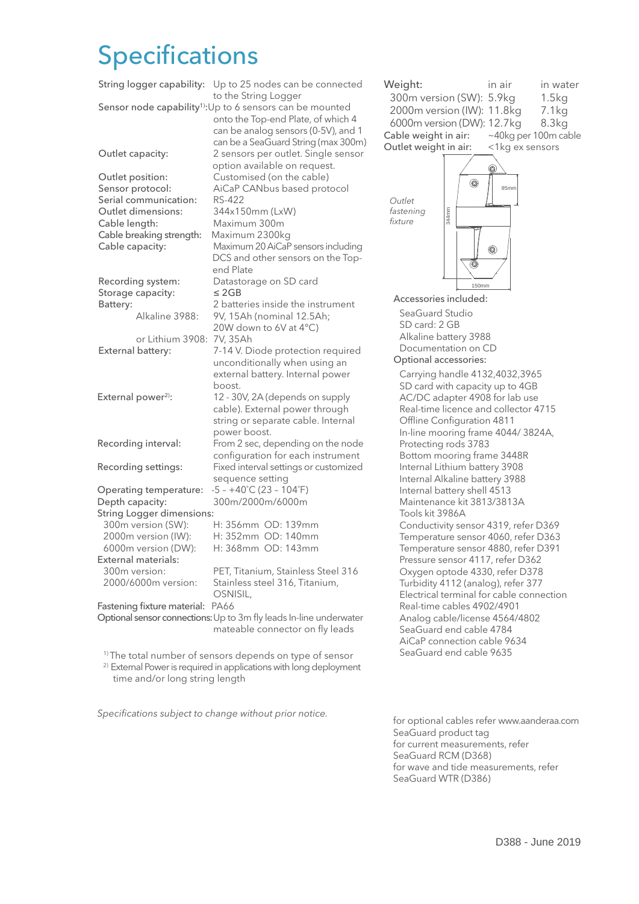## **Specifications**

| String logger capability:                                                                                                                           | Up to 25 nodes can be connected<br>to the String Logger                                                                                                                                                         |
|-----------------------------------------------------------------------------------------------------------------------------------------------------|-----------------------------------------------------------------------------------------------------------------------------------------------------------------------------------------------------------------|
|                                                                                                                                                     | Sensor node capability <sup>1)</sup> : Up to 6 sensors can be mounted<br>onto the Top-end Plate, of which 4<br>can be analog sensors (0-5V), and 1<br>can be a SeaGuard String (max 300m)                       |
| Outlet capacity:                                                                                                                                    | 2 sensors per outlet. Single sensor<br>option available on request.                                                                                                                                             |
| Outlet position:<br>Sensor protocol:<br>Serial communication:<br>Outlet dimensions:<br>Cable length:<br>Cable breaking strength:<br>Cable capacity: | Customised (on the cable)<br>AiCaP CANbus based protocol<br>RS-422<br>344x150mm (LxW)<br>Maximum 300m<br>Maximum 2300kg<br>Maximum 20 AiCaP sensors including<br>DCS and other sensors on the Top-<br>end Plate |
| Recording system:<br>Storage capacity:                                                                                                              | Datastorage on SD card<br>$\leq$ 2GB                                                                                                                                                                            |
| Battery:<br>Alkaline 3988:                                                                                                                          | 2 batteries inside the instrument<br>9V, 15Ah (nominal 12.5Ah;<br>20W down to 6V at 4°C)                                                                                                                        |
| or Lithium 3908:<br>External battery:                                                                                                               | 7V, 35Ah<br>7-14 V. Diode protection required<br>unconditionally when using an<br>external battery. Internal power<br>boost.                                                                                    |
| External power <sup>2)</sup> :                                                                                                                      | 12 - 30V, 2A (depends on supply<br>cable). External power through<br>string or separate cable. Internal<br>power boost.                                                                                         |
| Recording interval:                                                                                                                                 | From 2 sec, depending on the node<br>configuration for each instrument                                                                                                                                          |
| Recording settings:                                                                                                                                 | Fixed interval settings or customized<br>sequence setting                                                                                                                                                       |
| Operating temperature:<br>Depth capacity:<br><b>String Logger dimensions:</b>                                                                       | $-5 - +40^{\circ}C(23 - 104^{\circ}F)$<br>300m/2000m/6000m                                                                                                                                                      |
| 300m version (SW):<br>2000m version (IW):<br>6000m version (DW):<br><b>External materials:</b>                                                      | H: 356mm OD: 139mm<br>H: 352mm OD: 140mm<br>H: 368mm OD: 143mm                                                                                                                                                  |
| 300m version:<br>2000/6000m version:                                                                                                                | PET, Titanium, Stainless Steel 316<br>Stainless steel 316, Titanium,<br>OSNISIL,                                                                                                                                |
| PA66<br>Fastening fixture material:<br>Optional sensor connections: Up to 3m fly leads In-line underwater                                           |                                                                                                                                                                                                                 |
|                                                                                                                                                     | mateable connector on fly leads                                                                                                                                                                                 |

<sup>1)</sup> The total number of sensors depends on type of sensor

<sup>2)</sup> External Power is required in applications with long deployment time and/or long string length

*Specifications subject to change without prior notice.*



for optional cables refer www.aanderaa.com SeaGuard product tag for current measurements, refer SeaGuard RCM (D368) for wave and tide measurements, refer SeaGuard WTR (D386)